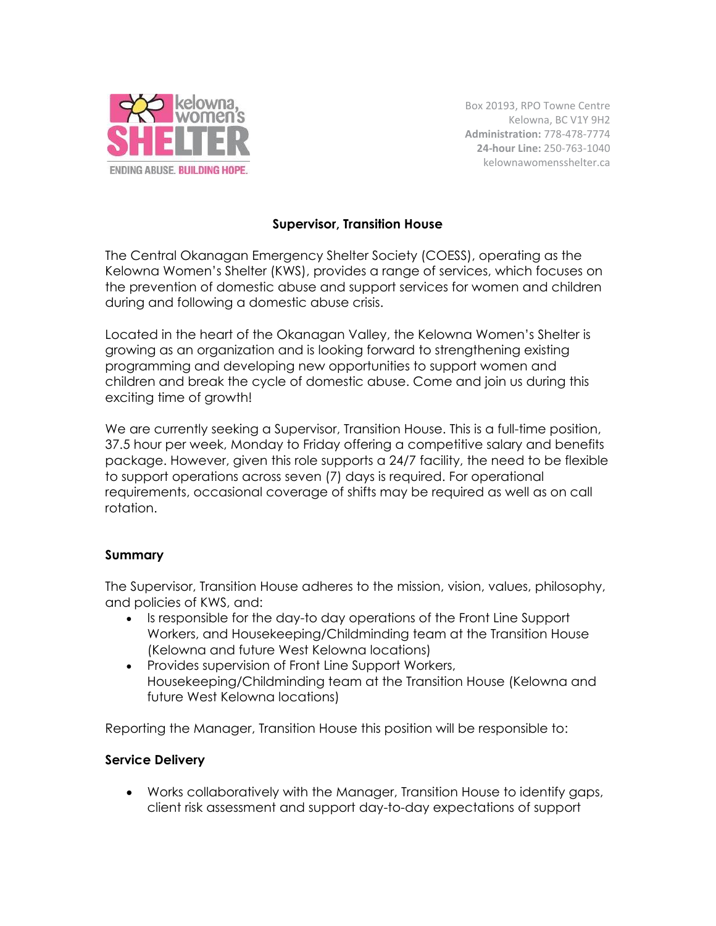

Box 20193, RPO Towne Centre Kelowna, BC V1Y 9H2 **Administration:** 778-478-7774 **24-hour Line:** 250-763-1040 kelownawomensshelter.ca

## **Supervisor, Transition House**

The Central Okanagan Emergency Shelter Society (COESS), operating as the Kelowna Women's Shelter (KWS), provides a range of services, which focuses on the prevention of domestic abuse and support services for women and children during and following a domestic abuse crisis.

Located in the heart of the Okanagan Valley, the Kelowna Women's Shelter is growing as an organization and is looking forward to strengthening existing programming and developing new opportunities to support women and children and break the cycle of domestic abuse. Come and join us during this exciting time of growth!

We are currently seeking a Supervisor, Transition House. This is a full-time position, 37.5 hour per week, Monday to Friday offering a competitive salary and benefits package. However, given this role supports a 24/7 facility, the need to be flexible to support operations across seven (7) days is required. For operational requirements, occasional coverage of shifts may be required as well as on call rotation.

## **Summary**

The Supervisor, Transition House adheres to the mission, vision, values, philosophy, and policies of KWS, and:

- Is responsible for the day-to day operations of the Front Line Support Workers, and Housekeeping/Childminding team at the Transition House (Kelowna and future West Kelowna locations)
- Provides supervision of Front Line Support Workers, Housekeeping/Childminding team at the Transition House (Kelowna and future West Kelowna locations)

Reporting the Manager, Transition House this position will be responsible to:

#### **Service Delivery**

• Works collaboratively with the Manager, Transition House to identify gaps, client risk assessment and support day-to-day expectations of support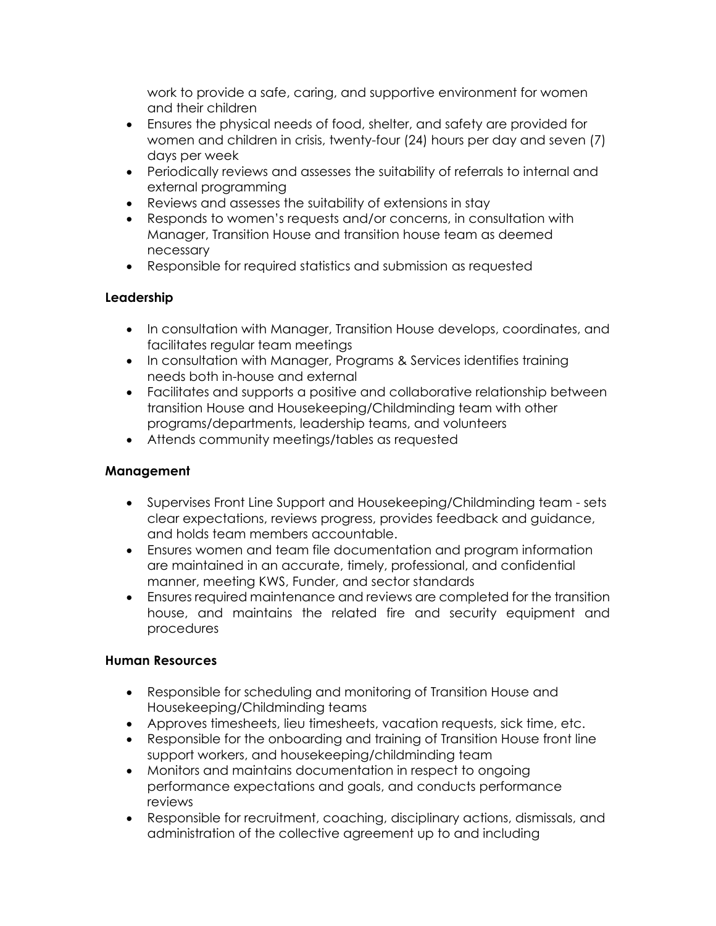work to provide a safe, caring, and supportive environment for women and their children

- Ensures the physical needs of food, shelter, and safety are provided for women and children in crisis, twenty-four (24) hours per day and seven (7) days per week
- Periodically reviews and assesses the suitability of referrals to internal and external programming
- Reviews and assesses the suitability of extensions in stay
- Responds to women's requests and/or concerns, in consultation with Manager, Transition House and transition house team as deemed necessary
- Responsible for required statistics and submission as requested

# **Leadership**

- In consultation with Manager, Transition House develops, coordinates, and facilitates regular team meetings
- In consultation with Manager, Programs & Services identifies training needs both in-house and external
- Facilitates and supports a positive and collaborative relationship between transition House and Housekeeping/Childminding team with other programs/departments, leadership teams, and volunteers
- Attends community meetings/tables as requested

## **Management**

- Supervises Front Line Support and Housekeeping/Childminding team sets clear expectations, reviews progress, provides feedback and guidance, and holds team members accountable.
- Ensures women and team file documentation and program information are maintained in an accurate, timely, professional, and confidential manner, meeting KWS, Funder, and sector standards
- Ensures required maintenance and reviews are completed for the transition house, and maintains the related fire and security equipment and procedures

## **Human Resources**

- Responsible for scheduling and monitoring of Transition House and Housekeeping/Childminding teams
- Approves timesheets, lieu timesheets, vacation requests, sick time, etc.
- Responsible for the onboarding and training of Transition House front line support workers, and housekeeping/childminding team
- Monitors and maintains documentation in respect to ongoing performance expectations and goals, and conducts performance reviews
- Responsible for recruitment, coaching, disciplinary actions, dismissals, and administration of the collective agreement up to and including